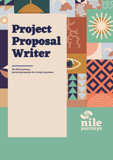# **Project Proposal Writer**

**The NILE journeys, Nurturing Impulses for Living Ecosystems**



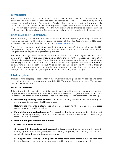## Introduction

This call for application is for a proposal writer position. This position is unique in its job description and requirements to fit the needs and structure of the NILE Journeys. This person is simply a talented writer and fluent written English who is experienced with writing proposals, reports, and articles. The person has an entrepreneurial spirit. The person is also comfortable and interested in editing material that serves the fundraising and partnership development of the NILE journeys. More details on the Job description and profile will come later in the document.

## Brief about the NILE journeys

The NILE journeys is a platform of Nile basin communities working on regenerating the land, the river, and the society. The ultimate vision and dream of the NILE Journeys is of 'a Nile Basin ecosystem that nurtures life-affirming actions'. [www.nileforum.org](http://www.nileforum.org/)

Our mission is to create participatory, experiential learning spaces for the inhabitants of the Nile bio-region and beyond, illuminating the multiple stories of this ecosystem that are rooted in indigenous knowledge and regenerative practices.

The NILE Journeys work connects community spaces across the region. We call them Community Hubs. They are acupuncture points along the Nile for the impact and regeneration of the social and ecological fields. Through these hubs, we create experiential and participatory learning spaces within the hubs and across hubs. We also aim to profile the stories of these hubs to illuminate positive narratives about Africa to her citizens and beyond. We do that through projects and programs addressing youth, gender, culture, permaculture, land regeneration, water, value chain integration, entrepreneurship development, and exchange.

## Job description

This job is for a project proposal writer. It also involves reviewing and editing articles and other material written by the team members and the NILE Journeys' Community Hubs. The areas of responsibilities include:

#### **PROPOSAL WRITING**

This is the critical responsibility of this role. It involves editing and developing the written proposals concepts relevant to the NILE Journeys essential programs (Land, Water, Arts, Education, Gender and Green business). Then write the proposal and coordinate the write-up.

- **Researching Funding opportunities:** Online researching opportunities for funding the programs and activities of the NILE Journeys.
- **Networking:** This entails attendance of events relevant to the NJ and, in some cases presenting the NJ and its activities
- **Fundraising strategy development:** This task will be developed in coordination with the host of each circle (department). It is essential for long-term financial sustainability to have a longterm Fundraising strategy
- **Report writing for partners and funders:**

#### **COMMUNITY HUBS SUPPORT**

- **CH support in Fundraising and proposal writing:** supporting our community hubs in identifying their needs, designing proposals, writing proposals, and pursuing their financial sustainability for their activities and operations.
- **CH support in researching Funding opportunities:** many of the community hubs need help in identifying potential funding opportunities and income-generating opportunities.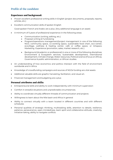## Profile of the candidate

### **Experience and background:**

- Proven excellent professional writing skills in English (project documents, proposals, reports, articles, etc.)
- **Excellent communication skills of spoken English**

Good spoken French and Arabic are a plus. (Any additional language is an asset)

- A minimum of 5 years of professional experience in the following areas:
	- Communication (writing, editing, etc.)
	- Proposal writing & Fundraising
	- Program/operations management/project management in one of the following: NGO, community space, co-working space, sustainable food chain, eco-center, ecovillage, wellness & healing center, café or coffee space, or Artspace. Marketing Experience (promotion, sales, market research, etc.)
	- Background (Academic or professional) in one or more of the following disciplines: Environment & Ecosystem services, Sustainable development, international development, Climate Change, Water resources, Political science (Focus on Africa), Governance & public administration, or African studies.
- An understanding of how economics and politics intersect with the field of environment worldwide and in Africa
- Knowledge of crowdfunding campaigns and sources of NGOs funding are vital assets
- Additional valuable skills are graphic harvesting, facilitation, and visual art.
- Financial management and budgeting are a plus

#### **Personal attributes and skills:**

- Entrepreneurial skills and ability to work independently with minimum supervision
- Comfort in stressful situations and unpredictable circumstances.
- Ability to coordinate virtually different threads of communication and projects
- Willingness to learn about the Nile basin and Africa in general
- Ability to connect virtually with a team located in different countries and with different schedules
- Personal qualities of strategic thinking, multitasking skills, attention to details, resilience, patience, perseverance, open-mindedness, team spirit and collaborative attitude, creativity, initiative-taking, ability to navigate conflicts

**3**